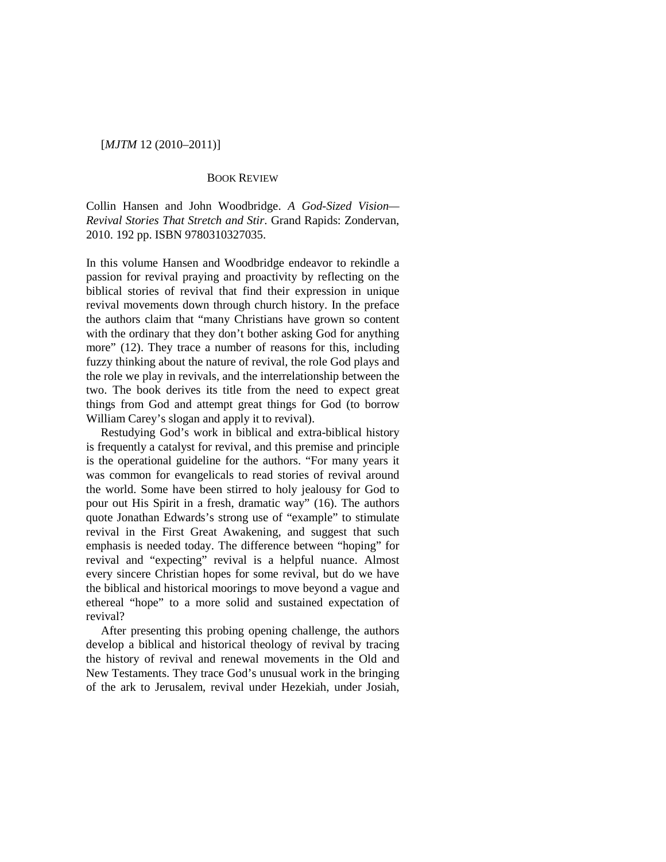# [*MJTM* 12 (2010–2011)]

## BOOK REVIEW

Collin Hansen and John Woodbridge. *A God-Sized Vision— Revival Stories That Stretch and Stir*. Grand Rapids: Zondervan, 2010. 192 pp. ISBN 9780310327035.

In this volume Hansen and Woodbridge endeavor to rekindle a passion for revival praying and proactivity by reflecting on the biblical stories of revival that find their expression in unique revival movements down through church history. In the preface the authors claim that "many Christians have grown so content with the ordinary that they don't bother asking God for anything more" (12). They trace a number of reasons for this, including fuzzy thinking about the nature of revival, the role God plays and the role we play in revivals, and the interrelationship between the two. The book derives its title from the need to expect great things from God and attempt great things for God (to borrow William Carey's slogan and apply it to revival).

Restudying God's work in biblical and extra-biblical history is frequently a catalyst for revival, and this premise and principle is the operational guideline for the authors. "For many years it was common for evangelicals to read stories of revival around the world. Some have been stirred to holy jealousy for God to pour out His Spirit in a fresh, dramatic way" (16). The authors quote Jonathan Edwards's strong use of "example" to stimulate revival in the First Great Awakening, and suggest that such emphasis is needed today. The difference between "hoping" for revival and "expecting" revival is a helpful nuance. Almost every sincere Christian hopes for some revival, but do we have the biblical and historical moorings to move beyond a vague and ethereal "hope" to a more solid and sustained expectation of revival?

After presenting this probing opening challenge, the authors develop a biblical and historical theology of revival by tracing the history of revival and renewal movements in the Old and New Testaments. They trace God's unusual work in the bringing of the ark to Jerusalem, revival under Hezekiah, under Josiah,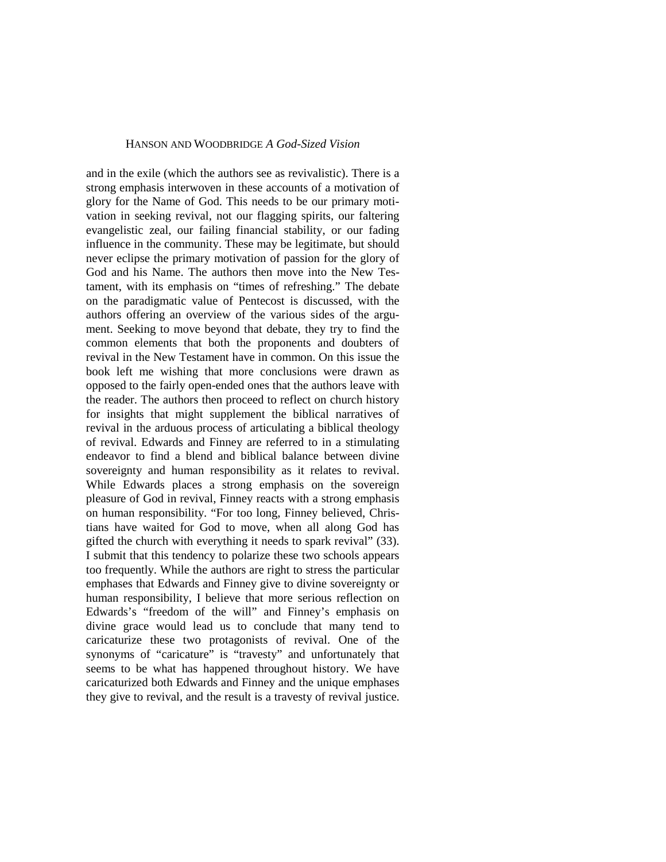#### HANSON AND WOODBRIDGE *A God-Sized Vision*

and in the exile (which the authors see as revivalistic). There is a strong emphasis interwoven in these accounts of a motivation of glory for the Name of God. This needs to be our primary motivation in seeking revival, not our flagging spirits, our faltering evangelistic zeal, our failing financial stability, or our fading influence in the community. These may be legitimate, but should never eclipse the primary motivation of passion for the glory of God and his Name. The authors then move into the New Testament, with its emphasis on "times of refreshing." The debate on the paradigmatic value of Pentecost is discussed, with the authors offering an overview of the various sides of the argument. Seeking to move beyond that debate, they try to find the common elements that both the proponents and doubters of revival in the New Testament have in common. On this issue the book left me wishing that more conclusions were drawn as opposed to the fairly open-ended ones that the authors leave with the reader. The authors then proceed to reflect on church history for insights that might supplement the biblical narratives of revival in the arduous process of articulating a biblical theology of revival. Edwards and Finney are referred to in a stimulating endeavor to find a blend and biblical balance between divine sovereignty and human responsibility as it relates to revival. While Edwards places a strong emphasis on the sovereign pleasure of God in revival, Finney reacts with a strong emphasis on human responsibility. "For too long, Finney believed, Christians have waited for God to move, when all along God has gifted the church with everything it needs to spark revival" (33). I submit that this tendency to polarize these two schools appears too frequently. While the authors are right to stress the particular emphases that Edwards and Finney give to divine sovereignty or human responsibility, I believe that more serious reflection on Edwards's "freedom of the will" and Finney's emphasis on divine grace would lead us to conclude that many tend to caricaturize these two protagonists of revival. One of the synonyms of "caricature" is "travesty" and unfortunately that seems to be what has happened throughout history. We have caricaturized both Edwards and Finney and the unique emphases they give to revival, and the result is a travesty of revival justice.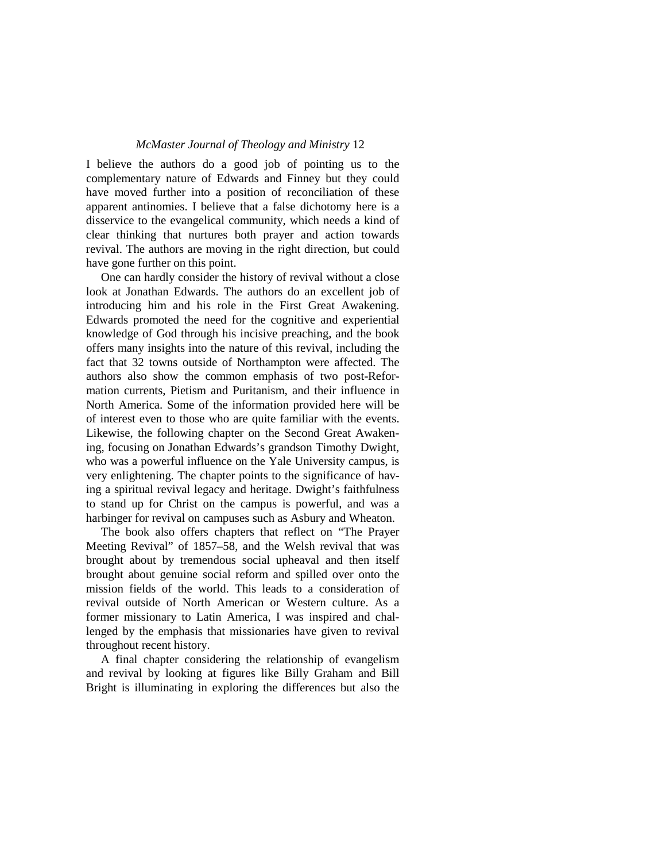## *McMaster Journal of Theology and Ministry* 12

I believe the authors do a good job of pointing us to the complementary nature of Edwards and Finney but they could have moved further into a position of reconciliation of these apparent antinomies. I believe that a false dichotomy here is a disservice to the evangelical community, which needs a kind of clear thinking that nurtures both prayer and action towards revival. The authors are moving in the right direction, but could have gone further on this point.

One can hardly consider the history of revival without a close look at Jonathan Edwards. The authors do an excellent job of introducing him and his role in the First Great Awakening. Edwards promoted the need for the cognitive and experiential knowledge of God through his incisive preaching, and the book offers many insights into the nature of this revival, including the fact that 32 towns outside of Northampton were affected. The authors also show the common emphasis of two post-Reformation currents, Pietism and Puritanism, and their influence in North America. Some of the information provided here will be of interest even to those who are quite familiar with the events. Likewise, the following chapter on the Second Great Awakening, focusing on Jonathan Edwards's grandson Timothy Dwight, who was a powerful influence on the Yale University campus, is very enlightening. The chapter points to the significance of having a spiritual revival legacy and heritage. Dwight's faithfulness to stand up for Christ on the campus is powerful, and was a harbinger for revival on campuses such as Asbury and Wheaton.

The book also offers chapters that reflect on "The Prayer Meeting Revival" of 1857–58, and the Welsh revival that was brought about by tremendous social upheaval and then itself brought about genuine social reform and spilled over onto the mission fields of the world. This leads to a consideration of revival outside of North American or Western culture. As a former missionary to Latin America, I was inspired and challenged by the emphasis that missionaries have given to revival throughout recent history.

A final chapter considering the relationship of evangelism and revival by looking at figures like Billy Graham and Bill Bright is illuminating in exploring the differences but also the